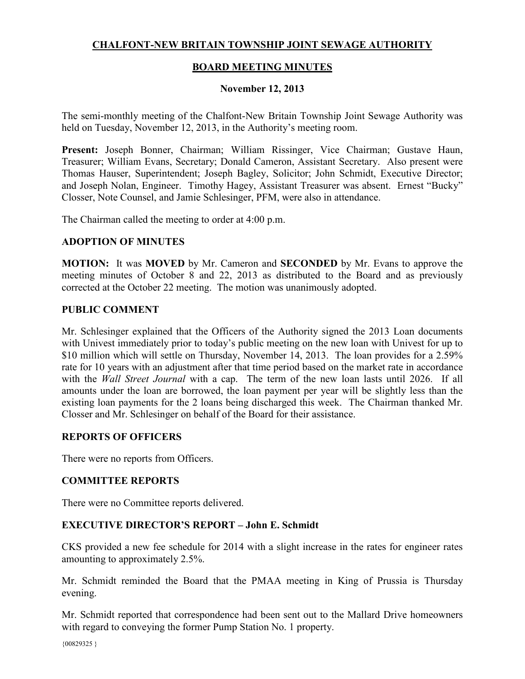# **CHALFONT-NEW BRITAIN TOWNSHIP JOINT SEWAGE AUTHORITY**

## **BOARD MEETING MINUTES**

### **November 12, 2013**

The semi-monthly meeting of the Chalfont-New Britain Township Joint Sewage Authority was held on Tuesday, November 12, 2013, in the Authority's meeting room.

**Present:** Joseph Bonner, Chairman; William Rissinger, Vice Chairman; Gustave Haun, Treasurer; William Evans, Secretary; Donald Cameron, Assistant Secretary. Also present were Thomas Hauser, Superintendent; Joseph Bagley, Solicitor; John Schmidt, Executive Director; and Joseph Nolan, Engineer. Timothy Hagey, Assistant Treasurer was absent. Ernest "Bucky" Closser, Note Counsel, and Jamie Schlesinger, PFM, were also in attendance.

The Chairman called the meeting to order at 4:00 p.m.

#### **ADOPTION OF MINUTES**

**MOTION:** It was **MOVED** by Mr. Cameron and **SECONDED** by Mr. Evans to approve the meeting minutes of October 8 and 22, 2013 as distributed to the Board and as previously corrected at the October 22 meeting. The motion was unanimously adopted.

#### **PUBLIC COMMENT**

Mr. Schlesinger explained that the Officers of the Authority signed the 2013 Loan documents with Univest immediately prior to today's public meeting on the new loan with Univest for up to \$10 million which will settle on Thursday, November 14, 2013. The loan provides for a 2.59% rate for 10 years with an adjustment after that time period based on the market rate in accordance with the *Wall Street Journal* with a cap. The term of the new loan lasts until 2026. If all amounts under the loan are borrowed, the loan payment per year will be slightly less than the existing loan payments for the 2 loans being discharged this week. The Chairman thanked Mr. Closser and Mr. Schlesinger on behalf of the Board for their assistance.

#### **REPORTS OF OFFICERS**

There were no reports from Officers.

#### **COMMITTEE REPORTS**

There were no Committee reports delivered.

#### **EXECUTIVE DIRECTOR'S REPORT – John E. Schmidt**

CKS provided a new fee schedule for 2014 with a slight increase in the rates for engineer rates amounting to approximately 2.5%.

Mr. Schmidt reminded the Board that the PMAA meeting in King of Prussia is Thursday evening.

Mr. Schmidt reported that correspondence had been sent out to the Mallard Drive homeowners with regard to conveying the former Pump Station No. 1 property.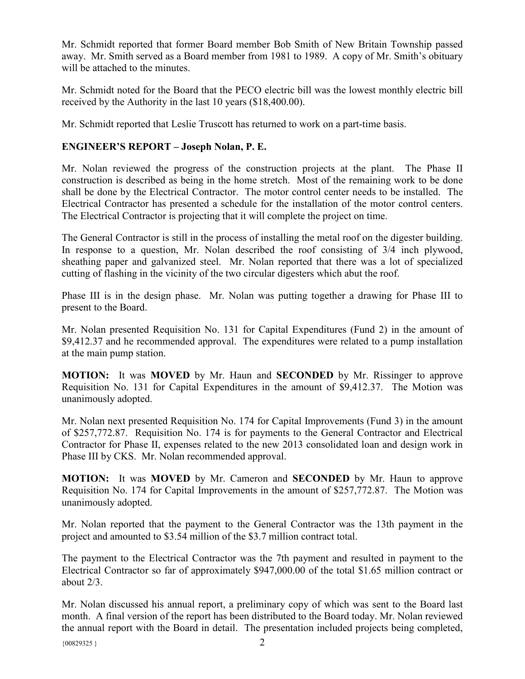Mr. Schmidt reported that former Board member Bob Smith of New Britain Township passed away. Mr. Smith served as a Board member from 1981 to 1989. A copy of Mr. Smith's obituary will be attached to the minutes.

Mr. Schmidt noted for the Board that the PECO electric bill was the lowest monthly electric bill received by the Authority in the last 10 years (\$18,400.00).

Mr. Schmidt reported that Leslie Truscott has returned to work on a part-time basis.

# **ENGINEER'S REPORT – Joseph Nolan, P. E.**

Mr. Nolan reviewed the progress of the construction projects at the plant. The Phase II construction is described as being in the home stretch. Most of the remaining work to be done shall be done by the Electrical Contractor. The motor control center needs to be installed. The Electrical Contractor has presented a schedule for the installation of the motor control centers. The Electrical Contractor is projecting that it will complete the project on time.

The General Contractor is still in the process of installing the metal roof on the digester building. In response to a question, Mr. Nolan described the roof consisting of 3/4 inch plywood, sheathing paper and galvanized steel. Mr. Nolan reported that there was a lot of specialized cutting of flashing in the vicinity of the two circular digesters which abut the roof.

Phase III is in the design phase. Mr. Nolan was putting together a drawing for Phase III to present to the Board.

Mr. Nolan presented Requisition No. 131 for Capital Expenditures (Fund 2) in the amount of \$9,412.37 and he recommended approval. The expenditures were related to a pump installation at the main pump station.

**MOTION:** It was **MOVED** by Mr. Haun and **SECONDED** by Mr. Rissinger to approve Requisition No. 131 for Capital Expenditures in the amount of \$9,412.37. The Motion was unanimously adopted.

Mr. Nolan next presented Requisition No. 174 for Capital Improvements (Fund 3) in the amount of \$257,772.87. Requisition No. 174 is for payments to the General Contractor and Electrical Contractor for Phase II, expenses related to the new 2013 consolidated loan and design work in Phase III by CKS. Mr. Nolan recommended approval.

**MOTION:** It was **MOVED** by Mr. Cameron and **SECONDED** by Mr. Haun to approve Requisition No. 174 for Capital Improvements in the amount of \$257,772.87. The Motion was unanimously adopted.

Mr. Nolan reported that the payment to the General Contractor was the 13th payment in the project and amounted to \$3.54 million of the \$3.7 million contract total.

The payment to the Electrical Contractor was the 7th payment and resulted in payment to the Electrical Contractor so far of approximately \$947,000.00 of the total \$1.65 million contract or about 2/3.

Mr. Nolan discussed his annual report, a preliminary copy of which was sent to the Board last month. A final version of the report has been distributed to the Board today. Mr. Nolan reviewed the annual report with the Board in detail. The presentation included projects being completed,